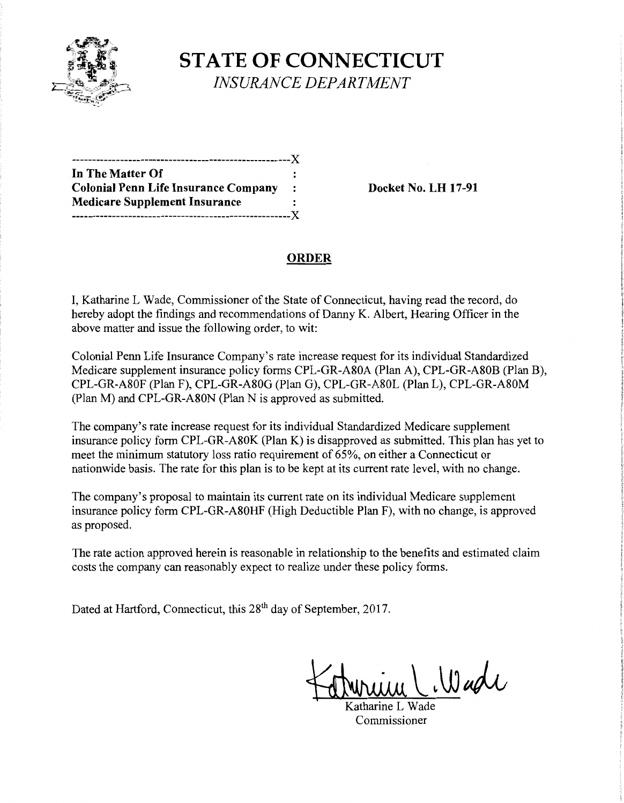

# **STATE OF CONNECTICUT**  *INSURANCE DEPARTMENT*

------------------------------------------------------)( **In The Matter Of Colonial Penn Life Insurance Company : Docket No. LH 17-91 Medicare Supplement Insurance**  ------------------------------------------------------)(

## **ORDER**

I, Katharine L Wade, Commissioner ofthe State of Connecticut, having read the record, do hereby adopt the findings and recommendations of Danny K. Albert, Hearing Officer in the above matter and issue the following order, to wit:

Colonial Penn Life Insurance Company's rate increase request for its individual Standardized Medicare supplement insurance policy forms CPL-GR-A80A (Plan A), CPL-GR-A80B (Plan B), CPL-GR-A80F (Plan F), CPL-GR-A80G (Plan G), CPL-GR-A80L (Plan L), CPL-GR-A80M (Plan M) and CPL-GR-A80N (Plan N is approved as submitted.

The company's rate increase request for its individual Standardized Medicare supplement insurance policy form CPL-GR-A80K (PlanK) is disapproved as submitted. This plan has yet to meet the minimum statutory loss ratio requirement of 65%, on either a Connecticut or nationwide basis. The rate for this plan is to be kept at its current rate level, with no change.

The company's proposal to maintain its current rate on its individual Medicare supplement insurance policy form CPL-GR-A80HF (High Deductible Plan F), with no change, is approved as proposed.

The rate action approved herein is reasonable in relationship to the benefits and estimated claim costs the company can reasonably expect to realize under these policy forms.

Dated at Hartford, Connecticut, this 28<sup>th</sup> day of September, 2017.

 $\cup$  Wade

Katharine L Wade Commissioner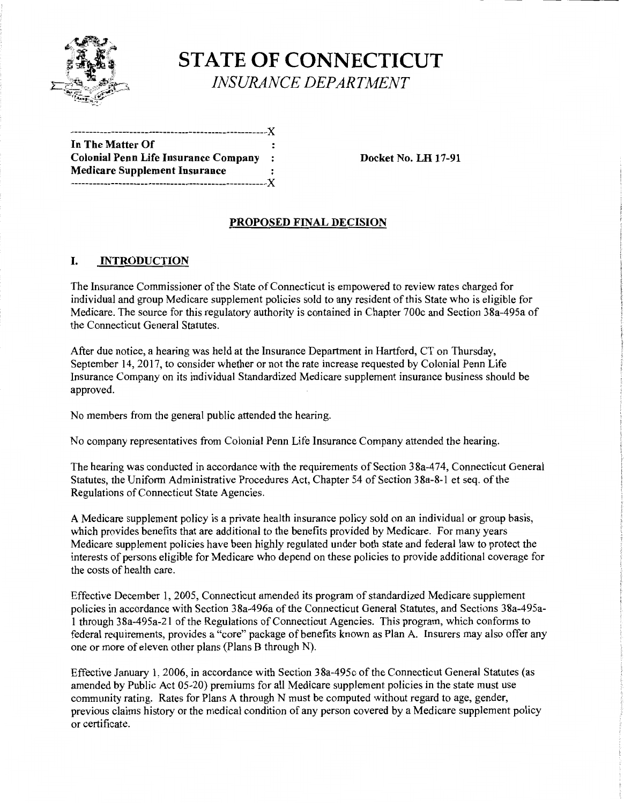

# **STATE OF CONNECTICUT**  *INSURANCE DEPARTMENT*

-----------------------------------------------------)( **In The Matter Of**  Colonial Penn Life Insurance Company : Docket No. LH 17-91 **Medicare Supplement Insurance**  -----------------------------------------------------)(

### **PROPOSED FINAL DECISION**

### **I. INTRODUCTION**

The Insurance Commissioner of the State of Connecticut is empowered to review rates charged for individual and group Medicare supplement policies sold to any resident of this State who is eligible for Medicare. The source for this regulatory authority is contained in Chapter 700c and Section 38a-495a of the Connecticut General Statutes.

After due notice, a hearing was held at the Insurance Department in Hartford, CT on Thursday, September 14, 2017, to consider whether or not the rate increase requested by Colonial Penn Life Insurance Company on its individual Standardized Medicare supplement insurance business should be approved.

No members from the general public attended the hearing.

No company representatives from Colonial Penn Life Insurance Company attended the hearing.

The hearing was conducted in accordance with the requirements of Section 38a-474, Connecticut General Statutes, the Uniform Administrative Procedures Act, Chapter 54 of Section 38a-8-1 et seq. of the Regulations of Connecticut State Agencies.

A Medicare supplement policy is a private health insurance policy sold on an individual or group basis, which provides benefits that are additional to the benefits provided by Medicare. For many years Medicare supplement policies have been highly regulated under both state and federal law to protect the interests of persons eligible for Medicare who depend on these policies to provide additional coverage for the costs of health care.

Effective December 1, 2005, Connecticut amended its program of standardized Medicare supplement policies in accordance with Section 38a-496a of the Connecticut General Statutes, and Sections 38a-495a-1 through 38a-495a-21 ofthe Regulations of Connecticut Agencies. This program, which conforms to federal requirements, provides a "core" package of benefits known as Plan A. Insurers may also offer any one or more of eleven other plans (Plans B through N).

Effective January 1, 2006, in accordance with Section 38a-495c of the Connecticut General Statutes (as amended by Public Act 05-20) premiums for all Medicare supplement policies in the state must use community rating. Rates for Plans A through N must be computed without regard to age, gender, previous claims history or the medical condition of any person covered by a Medicare supplement policy or certificate.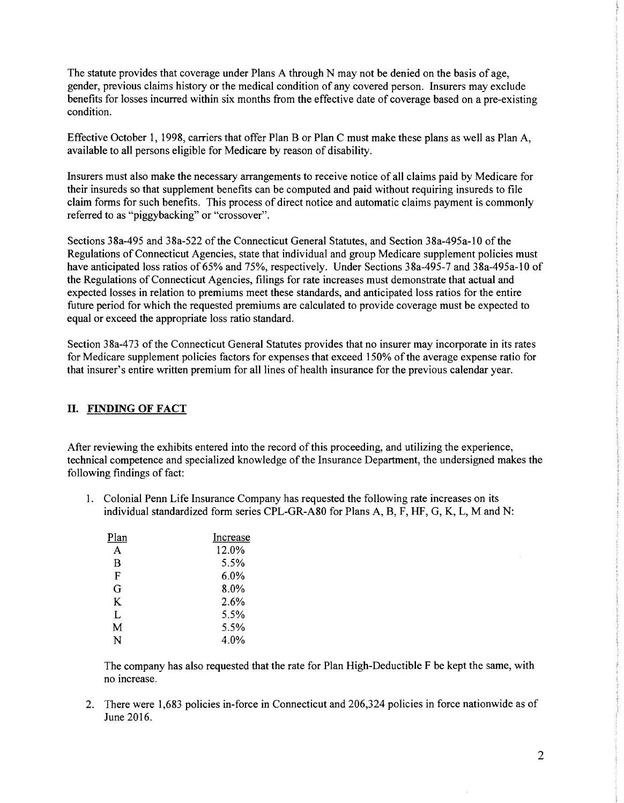The statute provides that coverage under Plans A through N may not be denied on the basis of age, gender, previous claims history or the medical condition of any covered person. Insurers may exclude benefits for losses incurred within six months from the effective date of coverage based on a pre-existing condition.

Effective October 1, 1998, carriers that offer Plan B or Plan C must make these plans as well as Plan A, available to all persons eligible for Medicare by reason of disability.

Insurers must also make the necessary arrangements to receive notice of all claims paid by Medicare for their insureds so that supplement benefits can be computed and paid without requiring insureds to file claim forms for such benefits. This process of direct notice and automatic claims payment is commonly referred to as "piggybacking" or "crossover".

Sections 38a-495 and 38a-522 of the Connecticut General Statutes, and Section 38a-495a-10 of the Regulations of Connecticut Agencies, state that individual and group Medicare supplement policies must have anticipated loss ratios of 65% and 75%, respectively. Under Sections 38a-495-7 and 38a-495a-10 of the Regulations of Connecticut Agencies, filings for rate increases must demonstrate that actual and expected losses in relation to premiums meet these standards, and anticipated loss ratios for the entire future period for which the requested premiums are calculated to provide coverage must be expected to equal or exceed the appropriate loss ratio standard.

Section 38a-473 of the Connecticut General Statutes provides that no insurer may incorporate in its rates for Medicare supplement policies factors for expenses that exceed 150% of the average expense ratio for that insurer's entire written premium for all lines of health insurance for the previous calendar year.

#### II. FINDING OF FACT

After reviewing the exhibits entered into the record of this proceeding, and utilizing the experience, technical competence and specialized knowledge of the Insurance Department, the undersigned makes the following findings of fact:

1. Colonial Penn Life Insurance Company has requested the following rate increases on its individual standardized form series CPL-GR-A80 for Plans A, B, F, HF, G, K, L, M and N:

| Plan | Increase |
|------|----------|
| A    | 12.0%    |
| В    | 5.5%     |
| F    | $6.0\%$  |
| G    | 8.0%     |
| K    | 2.6%     |
| L    | 5.5%     |
| М    | 5.5%     |
| N    | 4.0%     |

The company has also requested that the rate for Plan High-Deductible F be kept the same, with no increase.

2. There were 1,683 policies in-force in Connecticut and 206,324 policies in force nationwide as of June 2016.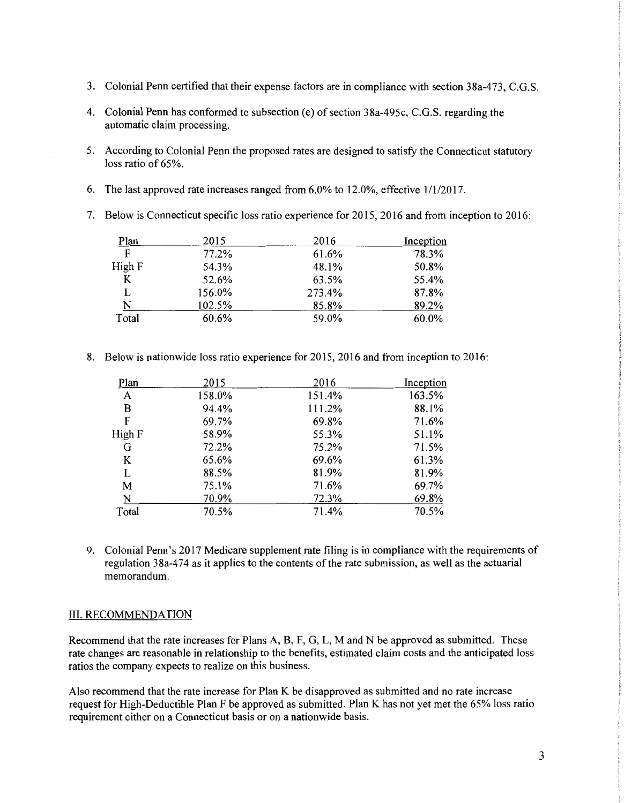- 3. Colonial Penn certified that their expense factors are in compliance with section 38a-473, C.G.S.
- 4. Colonial Penn has conformed to subsection (e) of section 38a-495c, C.G.S. regarding the automatic claim processing.
- 5. According to Colonial Penn the proposed rates are designed to satisfy the Connecticut statutory loss ratio of 65%.
- 6. The last approved rate increases ranged from 6.0% to 12.0%, effective 1/1/2017.
- 7. Below is Connecticut specific loss ratio experience for 2015, 2016 and from inception to 2016:

| Plan   | 2015   | 2016   | Inception |
|--------|--------|--------|-----------|
| F      | 77.2%  | 61.6%  | 78.3%     |
| High F | 54.3%  | 48.1%  | 50.8%     |
| K      | 52.6%  | 63.5%  | 55.4%     |
| L      | 156.0% | 273.4% | 87.8%     |
| N      | 102.5% | 85.8%  | 89.2%     |
| Total  | 60.6%  | 59.0%  | 60.0%     |

8. Below is nationwide loss ratio experience for 2015, 2016 and from inception to 2016:

| Plan   | 2015   | 2016   | Inception |
|--------|--------|--------|-----------|
| A      | 158.0% | 151.4% | 163.5%    |
| в      | 94.4%  | 111.2% | 88.1%     |
| F      | 69.7%  | 69.8%  | 71.6%     |
| High F | 58.9%  | 55.3%  | 51.1%     |
| G      | 72.2%  | 75.2%  | 71.5%     |
| K      | 65.6%  | 69.6%  | 61.3%     |
| L      | 88.5%  | 81.9%  | 81.9%     |
| M      | 75.1%  | 71.6%  | 69.7%     |
| N      | 70.9%  | 72.3%  | 69.8%     |
| Total  | 70.5%  | 71.4%  | 70.5%     |

9. Colonial Penn's 2017 Medicare supplement rate filing is in compliance with the requirements of regulation 38a-474 as it applies to the contents of the rate submission, as well as the actuarial memorandum.

#### III. RECOMMENDATION

Recommend that the rate increases for Plans A, B, F, G, L, M and N be approved as submitted. These rate changes are reasonable in relationship to the benefits, estimated claim costs and the anticipated loss ratios the company expects to realize on this business.

Also recommend that the rate increase for Plan K be disapproved as submitted and no rate increase request for High-Deductible Plan F be approved as submitted. Plan K has not yet met the 65% loss ratio requirement either on a Connecticut basis or on a nationwide basis.